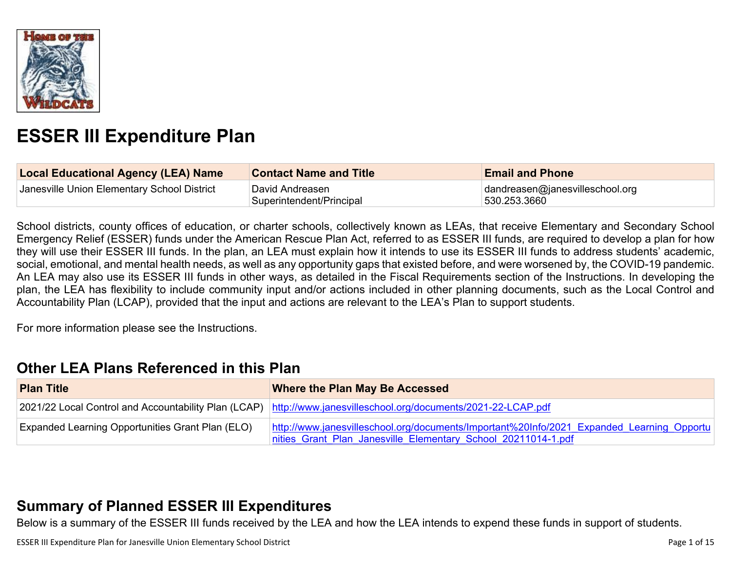

# **ESSER III Expenditure Plan**

| <b>Local Educational Agency (LEA) Name</b>  | <b>Contact Name and Title</b>               | <b>Email and Phone</b>                           |
|---------------------------------------------|---------------------------------------------|--------------------------------------------------|
| Janesville Union Elementary School District | David Andreasen<br>Superintendent/Principal | dandreasen@janesvilleschool.org<br> 530.253.3660 |

School districts, county offices of education, or charter schools, collectively known as LEAs, that receive Elementary and Secondary School Emergency Relief (ESSER) funds under the American Rescue Plan Act, referred to as ESSER III funds, are required to develop a plan for how they will use their ESSER III funds. In the plan, an LEA must explain how it intends to use its ESSER III funds to address students' academic, social, emotional, and mental health needs, as well as any opportunity gaps that existed before, and were worsened by, the COVID-19 pandemic. An LEA may also use its ESSER III funds in other ways, as detailed in the Fiscal Requirements section of the Instructions. In developing the plan, the LEA has flexibility to include community input and/or actions included in other planning documents, such as the Local Control and Accountability Plan (LCAP), provided that the input and actions are relevant to the LEA's Plan to support students.

For more information please see the Instructions.

### **Other LEA Plans [Referenced](#page-9-0) in this Plan**

| <b>Plan Title</b>                                       | <b>Where the Plan May Be Accessed</b>                                                                                                                      |  |
|---------------------------------------------------------|------------------------------------------------------------------------------------------------------------------------------------------------------------|--|
|                                                         | 2021/22 Local Control and Accountability Plan (LCAP) http://www.janesvilleschool.org/documents/2021-22-LCAP.pdf                                            |  |
| <b>Expanded Learning Opportunities Grant Plan (ELO)</b> | http://www.janesvilleschool.org/documents/Important%20Info/2021 Expanded Learning Opportu<br>nities Grant Plan Janesville Elementary School 20211014-1.pdf |  |

## **Summary of Planned ESSER III [Expenditures](#page-9-1)**

Below is a summary of the ESSER III funds received by the LEA and how the LEA intends to expend these funds in support of students.

ESSER III Expenditure Plan for Janesville Union Elementary School District **Page 1** of 15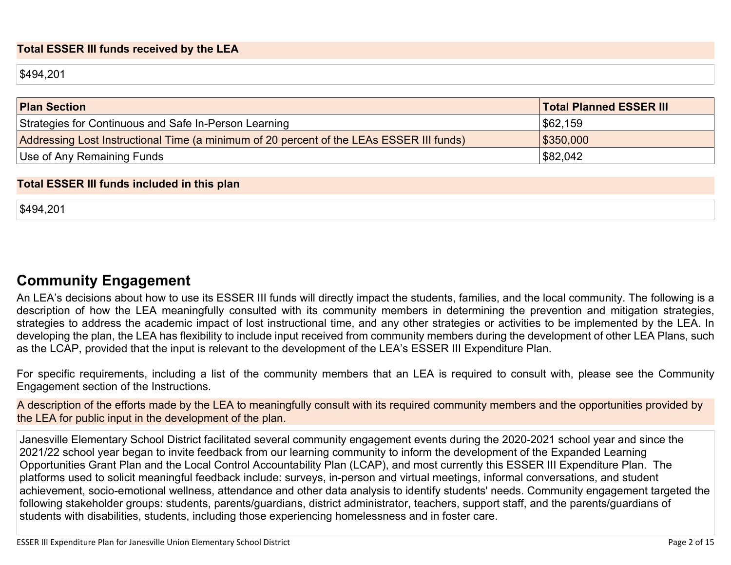#### **Total ESSER III funds received by the LEA**

\$494,201

| <b>Plan Section</b>                                                                      | <b>Total Planned ESSER III</b> |
|------------------------------------------------------------------------------------------|--------------------------------|
| Strategies for Continuous and Safe In-Person Learning                                    | \$62,159                       |
| Addressing Lost Instructional Time (a minimum of 20 percent of the LEAs ESSER III funds) | \$350,000                      |
| Use of Any Remaining Funds                                                               | \$82,042                       |

#### **Total ESSER III funds included in this plan**

\$494,201

### **Community [Engagement](#page-10-0)**

An LEA's decisions about how to use its ESSER III funds will directly impact the students, families, and the local community. The following is a description of how the LEA meaningfully consulted with its community members in determining the prevention and mitigation strategies, strategies to address the academic impact of lost instructional time, and any other strategies or activities to be implemented by the LEA. In developing the plan, the LEA has flexibility to include input received from community members during the development of other LEA Plans, such as the LCAP, provided that the input is relevant to the development of the LEA's ESSER III Expenditure Plan.

For specific requirements, including a list of the community members that an LEA is required to consult with, please see the Community Engagement section of the Instructions.

A description of the efforts made by the LEA to meaningfully consult with its required community members and the opportunities provided by the LEA for public input in the development of the plan.

Janesville Elementary School District facilitated several community engagement events during the 2020-2021 school year and since the 2021/22 school year began to invite feedback from our learning community to inform the development of the Expanded Learning Opportunities Grant Plan and the Local Control Accountability Plan (LCAP), and most currently this ESSER III Expenditure Plan. The platforms used to solicit meaningful feedback include: surveys, in-person and virtual meetings, informal conversations, and student achievement, socio-emotional wellness, attendance and other data analysis to identify students' needs. Community engagement targeted the following stakeholder groups: students, parents/guardians, district administrator, teachers, support staff, and the parents/guardians of students with disabilities, students, including those experiencing homelessness and in foster care.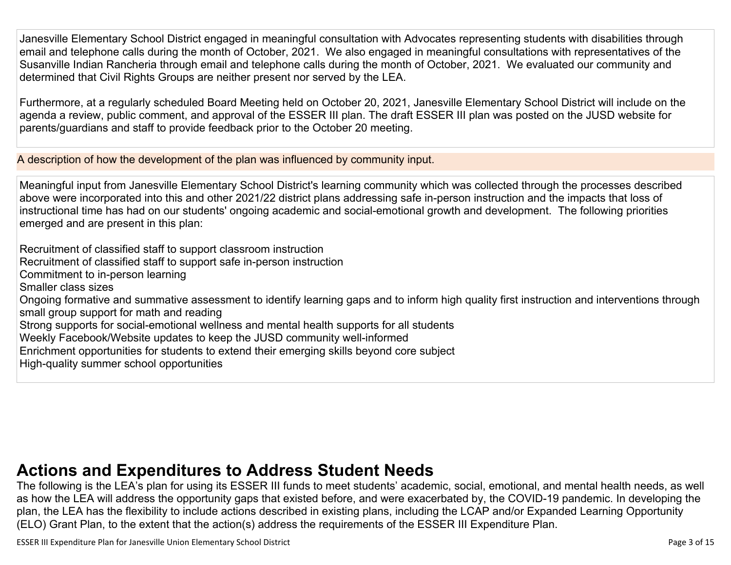Janesville Elementary School District engaged in meaningful consultation with Advocates representing students with disabilities through email and telephone calls during the month of October, 2021. We also engaged in meaningful consultations with representatives of the Susanville Indian Rancheria through email and telephone calls during the month of October, 2021. We evaluated our community and determined that Civil Rights Groups are neither present nor served by the LEA.

Furthermore, at a regularly scheduled Board Meeting held on October 20, 2021, Janesville Elementary School District will include on the agenda a review, public comment, and approval of the ESSER III plan. The draft ESSER III plan was posted on the JUSD website for parents/guardians and staff to provide feedback prior to the October 20 meeting.

A description of how the development of the plan was influenced by community input.

Meaningful input from Janesville Elementary School District's learning community which was collected through the processes described above were incorporated into this and other 2021/22 district plans addressing safe in-person instruction and the impacts that loss of instructional time has had on our students' ongoing academic and social-emotional growth and development. The following priorities emerged and are present in this plan:

Recruitment of classified staff to support classroom instruction

Recruitment of classified staff to support safe in-person instruction

Commitment to in-person learning

Smaller class sizes

Ongoing formative and summative assessment to identify learning gaps and to inform high quality first instruction and interventions through small group support for math and reading

Strong supports for social-emotional wellness and mental health supports for all students

Weekly Facebook/Website updates to keep the JUSD community well-informed

Enrichment opportunities for students to extend their emerging skills beyond core subject

High-quality summer school opportunities

## **Actions and [Expenditures](#page-12-0) to Address Student Needs**

The following is the LEA's plan for using its ESSER III funds to meet students' academic, social, emotional, and mental health needs, as well as how the LEA will address the opportunity gaps that existed before, and were exacerbated by, the COVID-19 pandemic. In developing the plan, the LEA has the flexibility to include actions described in existing plans, including the LCAP and/or Expanded Learning Opportunity (ELO) Grant Plan, to the extent that the action(s) address the requirements of the ESSER III Expenditure Plan.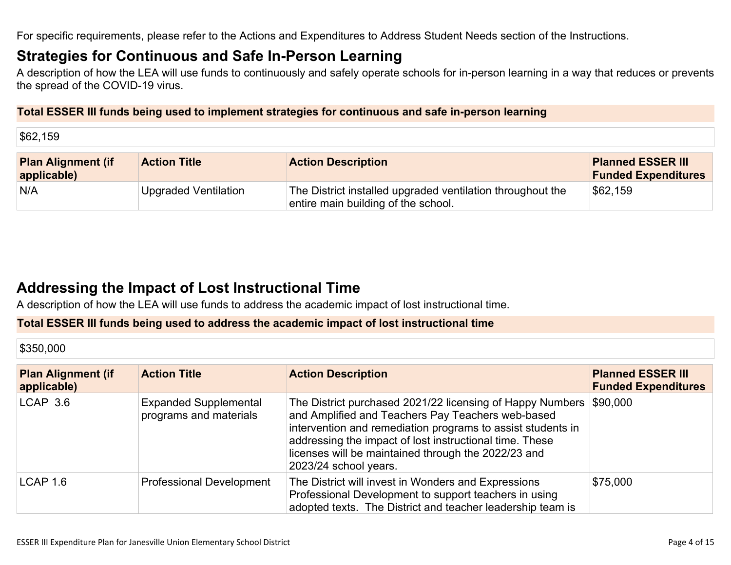For specific requirements, please refer to the Actions and Expenditures to Address Student Needs section of the Instructions.

### **Strategies for [Continuous](#page-12-1) and Safe In-Person Learning**

A description of how the LEA will use funds to continuously and safely operate schools for in-person learning in a way that reduces or prevents the spread of the COVID-19 virus.

#### **Total ESSER III funds being used to implement strategies for continuous and safe in-person learning**

\$62,159

| <b>Plan Alignment (if</b><br>applicable) | <b>Action Title</b>  | <b>Action Description</b>                                                                         | <b>Planned ESSER III</b><br><b>Funded Expenditures</b> |
|------------------------------------------|----------------------|---------------------------------------------------------------------------------------------------|--------------------------------------------------------|
| N/A                                      | Upgraded Ventilation | The District installed upgraded ventilation throughout the<br>entire main building of the school. | \$62,159                                               |

## **Addressing the Impact of Lost [Instructional](#page-13-0) Tim[e](#page-13-0)**

A description of how the LEA will use funds to address the academic impact of lost instructional time.

#### **Total ESSER III funds being used to address the academic impact of lost instructional time**

\$350,000

| <b>Plan Alignment (if</b><br>applicable) | <b>Action Title</b>                                    | <b>Action Description</b>                                                                                                                                                                                                                                                                                                | <b>Planned ESSER III</b><br><b>Funded Expenditures</b> |
|------------------------------------------|--------------------------------------------------------|--------------------------------------------------------------------------------------------------------------------------------------------------------------------------------------------------------------------------------------------------------------------------------------------------------------------------|--------------------------------------------------------|
| $LCAP$ 3.6                               | <b>Expanded Supplemental</b><br>programs and materials | The District purchased 2021/22 licensing of Happy Numbers<br>and Amplified and Teachers Pay Teachers web-based<br>intervention and remediation programs to assist students in<br>addressing the impact of lost instructional time. These<br>licenses will be maintained through the 2022/23 and<br>2023/24 school years. | \$90,000                                               |
| LCAP 1.6                                 | <b>Professional Development</b>                        | The District will invest in Wonders and Expressions<br>Professional Development to support teachers in using<br>adopted texts. The District and teacher leadership team is                                                                                                                                               | \$75,000                                               |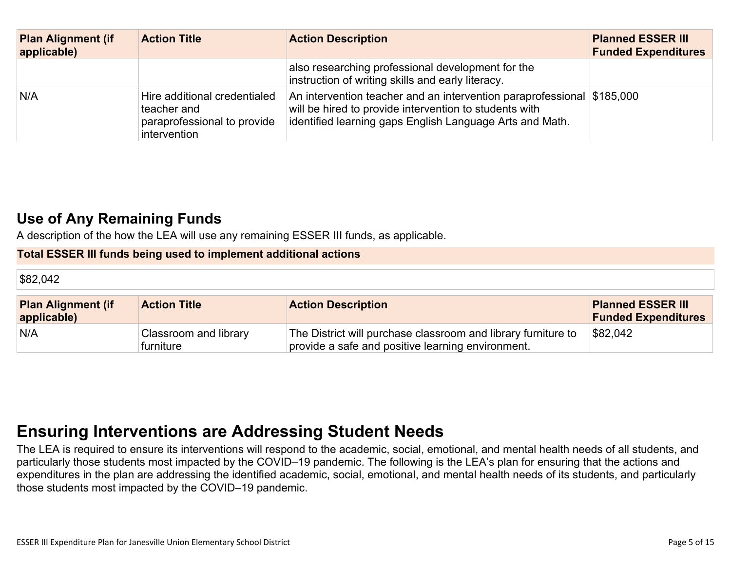| <b>Plan Alignment (if</b><br>applicable) | <b>Action Title</b>                                                                        | <b>Action Description</b>                                                                                                                                                                    | <b>Planned ESSER III</b><br><b>Funded Expenditures</b> |
|------------------------------------------|--------------------------------------------------------------------------------------------|----------------------------------------------------------------------------------------------------------------------------------------------------------------------------------------------|--------------------------------------------------------|
|                                          |                                                                                            | also researching professional development for the<br>instruction of writing skills and early literacy.                                                                                       |                                                        |
| N/A                                      | Hire additional credentialed<br>teacher and<br>paraprofessional to provide<br>intervention | An intervention teacher and an intervention paraprofessional \$185,000<br>will be hired to provide intervention to students with<br>identified learning gaps English Language Arts and Math. |                                                        |

## **Use of Any [Remaining](#page-13-1) Fund[s](#page-13-1)**

A description of the how the LEA will use any remaining ESSER III funds, as applicable.

#### **Total ESSER III funds being used to implement additional actions**

| \$82,042                                 |                                    |                                                                                                                    |                                                        |
|------------------------------------------|------------------------------------|--------------------------------------------------------------------------------------------------------------------|--------------------------------------------------------|
| <b>Plan Alignment (if</b><br>applicable) | <b>Action Title</b>                | <b>Action Description</b>                                                                                          | <b>Planned ESSER III</b><br><b>Funded Expenditures</b> |
| N/A                                      | Classroom and library<br>furniture | The District will purchase classroom and library furniture to<br>provide a safe and positive learning environment. | \$82,042                                               |

## **Ensuring [Interventions](#page-13-2) are Addressing Student Need[s](#page-13-2)**

The LEA is required to ensure its interventions will respond to the academic, social, emotional, and mental health needs of all students, and particularly those students most impacted by the COVID–19 pandemic. The following is the LEA's plan for ensuring that the actions and expenditures in the plan are addressing the identified academic, social, emotional, and mental health needs of its students, and particularly those students most impacted by the COVID–19 pandemic.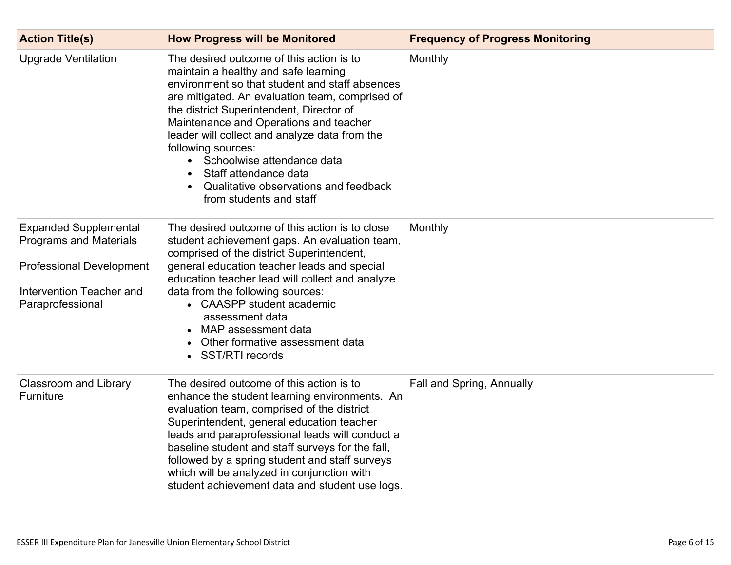| <b>Action Title(s)</b>                                                                                                                           | <b>How Progress will be Monitored</b>                                                                                                                                                                                                                                                                                                                                                                                                                                         | <b>Frequency of Progress Monitoring</b> |
|--------------------------------------------------------------------------------------------------------------------------------------------------|-------------------------------------------------------------------------------------------------------------------------------------------------------------------------------------------------------------------------------------------------------------------------------------------------------------------------------------------------------------------------------------------------------------------------------------------------------------------------------|-----------------------------------------|
| <b>Upgrade Ventilation</b>                                                                                                                       | The desired outcome of this action is to<br>maintain a healthy and safe learning<br>environment so that student and staff absences<br>are mitigated. An evaluation team, comprised of<br>the district Superintendent, Director of<br>Maintenance and Operations and teacher<br>leader will collect and analyze data from the<br>following sources:<br>Schoolwise attendance data<br>Staff attendance data<br>Qualitative observations and feedback<br>from students and staff | Monthly                                 |
| <b>Expanded Supplemental</b><br><b>Programs and Materials</b><br><b>Professional Development</b><br>Intervention Teacher and<br>Paraprofessional | The desired outcome of this action is to close<br>student achievement gaps. An evaluation team,<br>comprised of the district Superintendent,<br>general education teacher leads and special<br>education teacher lead will collect and analyze<br>data from the following sources:<br>• CAASPP student academic<br>assessment data<br>MAP assessment data<br>Other formative assessment data<br>• SST/RTI records                                                             | Monthly                                 |
| <b>Classroom and Library</b><br>Furniture                                                                                                        | The desired outcome of this action is to<br>enhance the student learning environments. An<br>evaluation team, comprised of the district<br>Superintendent, general education teacher<br>leads and paraprofessional leads will conduct a<br>baseline student and staff surveys for the fall,<br>followed by a spring student and staff surveys<br>which will be analyzed in conjunction with<br>student achievement data and student use logs.                                 | Fall and Spring, Annually               |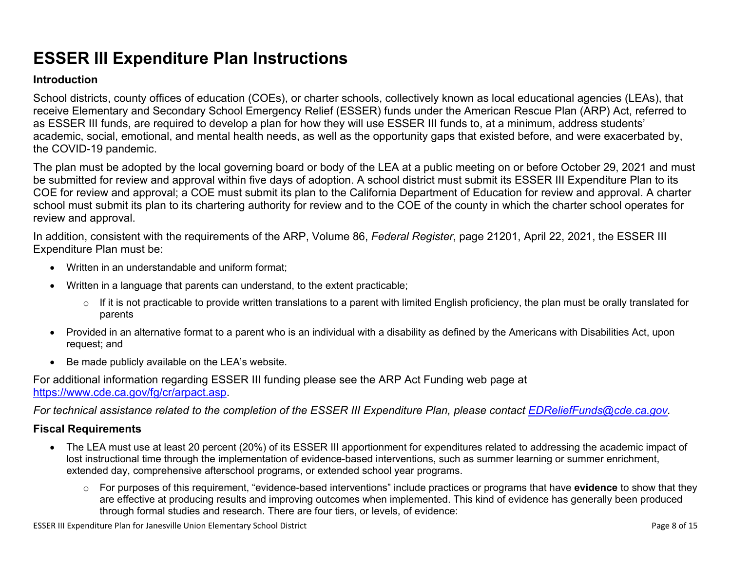## **ESSER III Expenditure Plan Instructions**

#### **Introduction**

School districts, county offices of education (COEs), or charter schools, collectively known as local educational agencies (LEAs), that receive Elementary and Secondary School Emergency Relief (ESSER) funds under the American Rescue Plan (ARP) Act, referred to as ESSER III funds, are required to develop a plan for how they will use ESSER III funds to, at a minimum, address students' academic, social, emotional, and mental health needs, as well as the opportunity gaps that existed before, and were exacerbated by, the COVID-19 pandemic.

The plan must be adopted by the local governing board or body of the LEA at a public meeting on or before October 29, 2021 and must be submitted for review and approval within five days of adoption. A school district must submit its ESSER III Expenditure Plan to its COE for review and approval; a COE must submit its plan to the California Department of Education for review and approval. A charter school must submit its plan to its chartering authority for review and to the COE of the county in which the charter school operates for review and approval.

In addition, consistent with the requirements of the ARP, Volume 86, *Federal Register*, page 21201, April 22, 2021, the ESSER III Expenditure Plan must be:

- Written in an understandable and uniform format;
- Written in a language that parents can understand, to the extent practicable;
	- $\circ$  If it is not practicable to provide written translations to a parent with limited English proficiency, the plan must be orally translated for parents
- Provided in an alternative format to a parent who is an individual with a disability as defined by the Americans with Disabilities Act, upon request; and
- Be made publicly available on the LEA's website.

For additional information regarding ESSER III funding please see the ARP Act Funding web page at <https://www.cde.ca.gov/fg/cr/arpact.asp>.

For technical assistance related to the completion of the ESSER III Expenditure Plan, please contact [EDReliefFunds@cde.ca.gov](mailto:EDReliefFunds@cde.ca.gov).

#### **Fiscal Requirements**

- The LEA must use at least 20 percent (20%) of its ESSER III apportionment for expenditures related to addressing the academic impact of lost instructional time through the implementation of evidence-based interventions, such as summer learning or summer enrichment, extended day, comprehensive afterschool programs, or extended school year programs.
	- o For purposes of this requirement, "evidence-based interventions" include practices or programs that have **evidence** to show that they are effective at producing results and improving outcomes when implemented. This kind of evidence has generally been produced through formal studies and research. There are four tiers, or levels, of evidence:

ESSER III Expenditure Plan for Janesville Union Elementary School District **Page 8 of 15** and the state of 15 and the state Page 8 of 15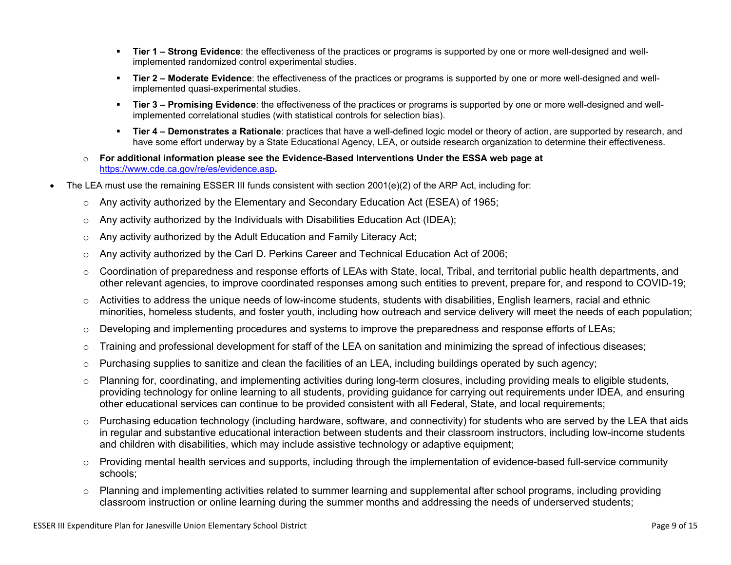- **Tier 1 – Strong Evidence**: the effectiveness of the practices or programs is supported by one or more well-designed and wellimplemented randomized control experimental studies.
- **Tier 2 – Moderate Evidence**: the effectiveness of the practices or programs is supported by one or more well-designed and wellimplemented quasi-experimental studies.
- **Tier 3 – Promising Evidence**: the effectiveness of the practices or programs is supported by one or more well-designed and wellimplemented correlational studies (with statistical controls for selection bias).
- **Tier 4 – Demonstrates a Rationale**: practices that have a well-defined logic model or theory of action, are supported by research, and have some effort underway by a State Educational Agency, LEA, or outside research organization to determine their effectiveness.
- o **For additional information please see the Evidence-Based Interventions Under the ESSA web page at** <https://www.cde.ca.gov/re/es/evidence.asp>**.**
- The LEA must use the remaining ESSER III funds consistent with section 2001(e)(2) of the ARP Act, including for:
	- $\circ$  Any activity authorized by the Elementary and Secondary Education Act (ESEA) of 1965;
	- $\circ$  Any activity authorized by the Individuals with Disabilities Education Act (IDEA);
	- o Any activity authorized by the Adult Education and Family Literacy Act;
	- $\circ$  Any activity authorized by the Carl D. Perkins Career and Technical Education Act of 2006;
	- $\circ$  Coordination of preparedness and response efforts of LEAs with State, local, Tribal, and territorial public health departments, and other relevant agencies, to improve coordinated responses among such entities to prevent, prepare for, and respond to COVID-19;
	- $\circ$  Activities to address the unique needs of low-income students, students with disabilities, English learners, racial and ethnic minorities, homeless students, and foster youth, including how outreach and service delivery will meet the needs of each population;
	- o Developing and implementing procedures and systems to improve the preparedness and response efforts of LEAs;
	- $\circ$  Training and professional development for staff of the LEA on sanitation and minimizing the spread of infectious diseases;
	- $\circ$  Purchasing supplies to sanitize and clean the facilities of an LEA, including buildings operated by such agency;
	- $\circ$  Planning for, coordinating, and implementing activities during long-term closures, including providing meals to eligible students, providing technology for online learning to all students, providing guidance for carrying out requirements under IDEA, and ensuring other educational services can continue to be provided consistent with all Federal, State, and local requirements;
	- $\circ$  Purchasing education technology (including hardware, software, and connectivity) for students who are served by the LEA that aids in regular and substantive educational interaction between students and their classroom instructors, including low-income students and children with disabilities, which may include assistive technology or adaptive equipment;
	- $\circ$  Providing mental health services and supports, including through the implementation of evidence-based full-service community schools;
	- o Planning and implementing activities related to summer learning and supplemental after school programs, including providing classroom instruction or online learning during the summer months and addressing the needs of underserved students;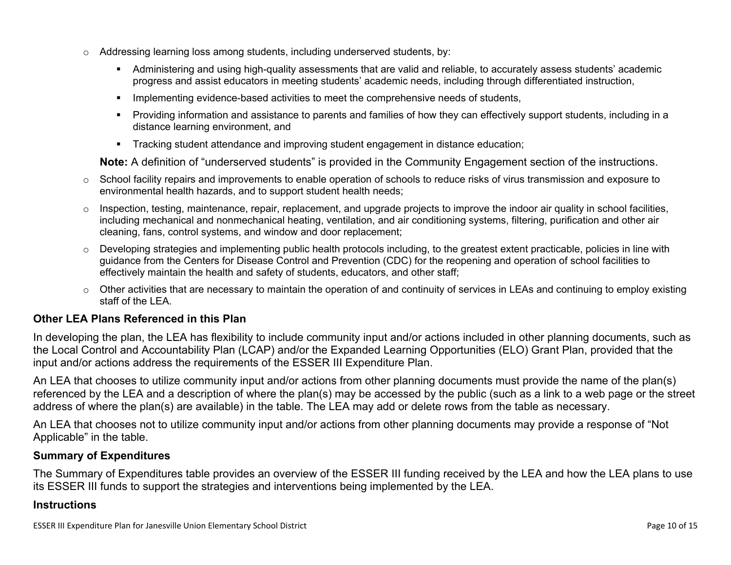- $\circ$  Addressing learning loss among students, including underserved students, by:
	- Administering and using high-quality assessments that are valid and reliable, to accurately assess students' academic progress and assist educators in meeting students' academic needs, including through differentiated instruction,
	- **IMPLEMENTER IMPLEMENT LIME STARK IMPLEMENT IMPLEMENT IMPLY** Implementing evidents,
	- Providing information and assistance to parents and families of how they can effectively support students, including in a distance learning environment, and
	- Tracking student attendance and improving student engagement in distance education;

**Note:** A definition of "underserved students" is provided in the Community Engagement section of the instructions.

- $\circ$  School facility repairs and improvements to enable operation of schools to reduce risks of virus transmission and exposure to environmental health hazards, and to support student health needs;
- $\circ$  Inspection, testing, maintenance, repair, replacement, and upgrade projects to improve the indoor air quality in school facilities, including mechanical and nonmechanical heating, ventilation, and air conditioning systems, filtering, purification and other air cleaning, fans, control systems, and window and door replacement;
- $\circ$  Developing strategies and implementing public health protocols including, to the greatest extent practicable, policies in line with guidance from the Centers for Disease Control and Prevention (CDC) for the reopening and operation of school facilities to effectively maintain the health and safety of students, educators, and other staff;
- $\circ$  Other activities that are necessary to maintain the operation of and continuity of services in LEAs and continuing to employ existing staff of the LEA.

#### <span id="page-9-0"></span>**Other LEA Plans Referenced in this Plan**

In developing the plan, the LEA has flexibility to include community input and/or actions included in other planning documents, such as the Local Control and Accountability Plan (LCAP) and/or the Expanded Learning Opportunities (ELO) Grant Plan, provided that the input and/or actions address the requirements of the ESSER III Expenditure Plan.

An LEA that chooses to utilize community input and/or actions from other planning documents must provide the name of the plan(s) referenced by the LEA and a description of where the plan(s) may be accessed by the public (such as a link to a web page or the street address of where the plan(s) are available) in the table. The LEA may add or delete rows from the table as necessary.

An LEA that chooses not to utilize community input and/or actions from other planning documents may provide a response of "Not Applicable" in the table.

#### <span id="page-9-1"></span>**Summary of Expenditures**

The Summary of Expenditures table provides an overview of the ESSER III funding received by the LEA and how the LEA plans to use its ESSER III funds to support the strategies and interventions being implemented by the LEA.

#### **Instructions**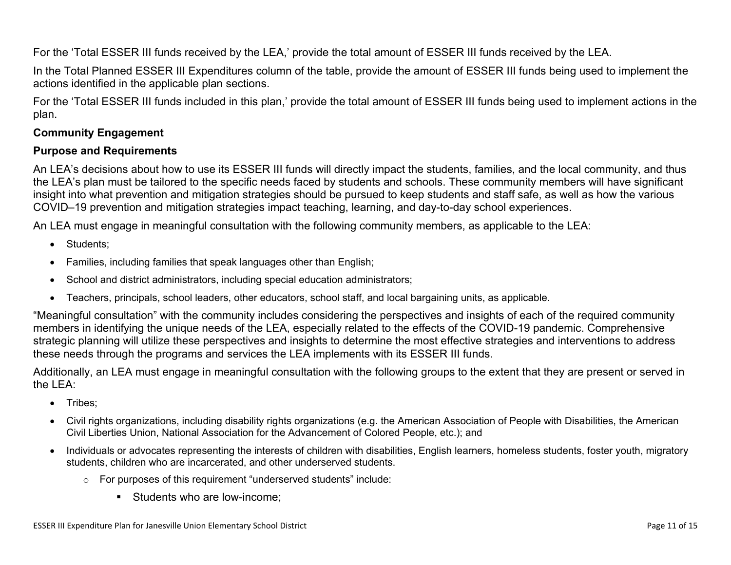For the 'Total ESSER III funds received by the LEA,' provide the total amount of ESSER III funds received by the LEA.

In the Total Planned ESSER III Expenditures column of the table, provide the amount of ESSER III funds being used to implement the actions identified in the applicable plan sections.

For the 'Total ESSER III funds included in this plan,' provide the total amount of ESSER III funds being used to implement actions in the plan.

#### <span id="page-10-0"></span>**Community Engagement**

#### **Purpose and Requirements**

An LEA's decisions about how to use its ESSER III funds will directly impact the students, families, and the local community, and thus the LEA's plan must be tailored to the specific needs faced by students and schools. These community members will have significant insight into what prevention and mitigation strategies should be pursued to keep students and staff safe, as well as how the various COVID–19 prevention and mitigation strategies impact teaching, learning, and day-to-day school experiences.

An LEA must engage in meaningful consultation with the following community members, as applicable to the LEA:

- Students:
- Families, including families that speak languages other than English;
- School and district administrators, including special education administrators;
- Teachers, principals, school leaders, other educators, school staff, and local bargaining units, as applicable.

"Meaningful consultation" with the community includes considering the perspectives and insights of each of the required community members in identifying the unique needs of the LEA, especially related to the effects of the COVID-19 pandemic. Comprehensive strategic planning will utilize these perspectives and insights to determine the most effective strategies and interventions to address these needs through the programs and services the LEA implements with its ESSER III funds.

Additionally, an LEA must engage in meaningful consultation with the following groups to the extent that they are present or served in the LEA:

- Tribes;
- Civil rights organizations, including disability rights organizations (e.g. the American Association of People with Disabilities, the American Civil Liberties Union, National Association for the Advancement of Colored People, etc.); and
- Individuals or advocates representing the interests of children with disabilities, English learners, homeless students, foster youth, migratory students, children who are incarcerated, and other underserved students.
	- o For purposes of this requirement "underserved students" include:
		- **Students who are low-income:**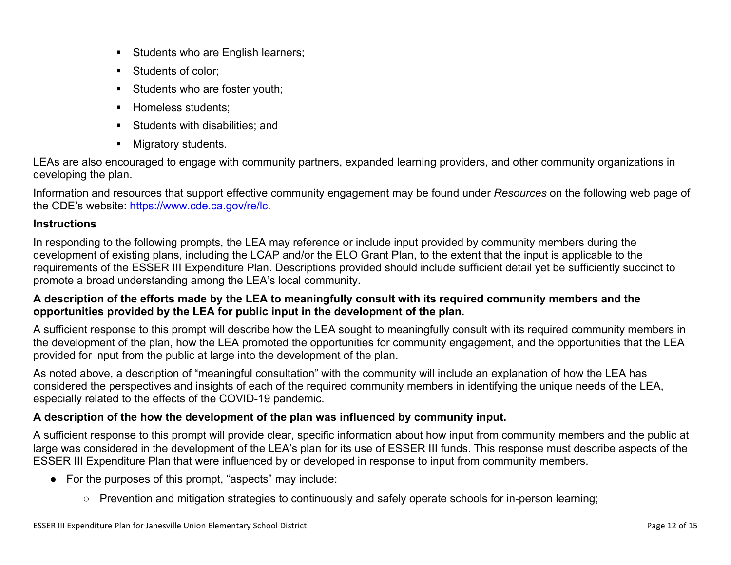- Students who are English learners;
- Students of color:
- Students who are foster youth;
- Homeless students;
- **Students with disabilities: and**
- **Migratory students.**

LEAs are also encouraged to engage with community partners, expanded learning providers, and other community organizations in developing the plan.

Information and resources that support effective community engagement may be found under *Resources* on the following web page of the CDE's website: <https://www.cde.ca.gov/re/lc>.

#### **Instructions**

In responding to the following prompts, the LEA may reference or include input provided by community members during the development of existing plans, including the LCAP and/or the ELO Grant Plan, to the extent that the input is applicable to the requirements of the ESSER III Expenditure Plan. Descriptions provided should include sufficient detail yet be sufficiently succinct to promote a broad understanding among the LEA's local community.

#### A description of the efforts made by the LEA to meaningfully consult with its required community members and the **opportunities provided by the LEA for public input in the development of the plan.**

A sufficient response to this prompt will describe how the LEA sought to meaningfully consult with its required community members in the development of the plan, how the LEA promoted the opportunities for community engagement, and the opportunities that the LEA provided for input from the public at large into the development of the plan.

As noted above, a description of "meaningful consultation" with the community will include an explanation of how the LEA has considered the perspectives and insights of each of the required community members in identifying the unique needs of the LEA, especially related to the effects of the COVID-19 pandemic.

#### **A description of the how the development of the plan was influenced by community input.**

A sufficient response to this prompt will provide clear, specific information about how input from community members and the public at large was considered in the development of the LEA's plan for its use of ESSER III funds. This response must describe aspects of the ESSER III Expenditure Plan that were influenced by or developed in response to input from community members.

- For the purposes of this prompt, "aspects" may include:
	- Prevention and mitigation strategies to continuously and safely operate schools for in-person learning;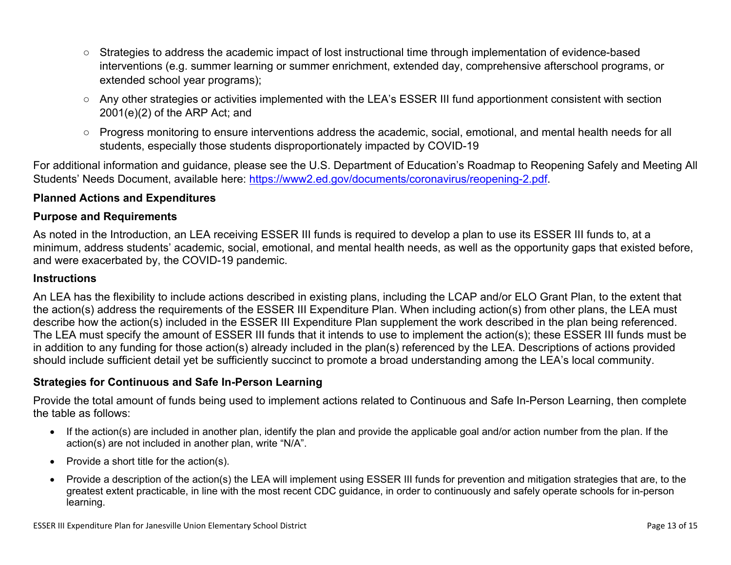- Strategies to address the academic impact of lost instructional time through implementation of evidence-based interventions (e.g. summer learning or summer enrichment, extended day, comprehensive afterschool programs, or extended school year programs);
- Any other strategies or activities implemented with the LEA's ESSER III fund apportionment consistent with section 2001(e)(2) of the ARP Act; and
- Progress monitoring to ensure interventions address the academic, social, emotional, and mental health needs for all students, especially those students disproportionately impacted by COVID-19

For additional information and guidance, please see the U.S. Department of Education's Roadmap to Reopening Safely and Meeting All Students' Needs Document, available here: [https://www2.ed.gov/documents/coronavirus/reopening-2.pdf.](https://www2.ed.gov/documents/coronavirus/reopening-2.pdf)

#### <span id="page-12-0"></span>**Planned Actions and Expenditures**

#### **Purpose and Requirements**

As noted in the Introduction, an LEA receiving ESSER III funds is required to develop a plan to use its ESSER III funds to, at a minimum, address students' academic, social, emotional, and mental health needs, as well as the opportunity gaps that existed before, and were exacerbated by, the COVID-19 pandemic.

#### **Instructions**

An LEA has the flexibility to include actions described in existing plans, including the LCAP and/or ELO Grant Plan, to the extent that the action(s) address the requirements of the ESSER III Expenditure Plan. When including action(s) from other plans, the LEA must describe how the action(s) included in the ESSER III Expenditure Plan supplement the work described in the plan being referenced. The LEA must specify the amount of ESSER III funds that it intends to use to implement the action(s); these ESSER III funds must be in addition to any funding for those action(s) already included in the plan(s) referenced by the LEA. Descriptions of actions provided should include sufficient detail yet be sufficiently succinct to promote a broad understanding among the LEA's local community.

#### <span id="page-12-1"></span>**Strategies for Continuous and Safe In-Person Learning**

Provide the total amount of funds being used to implement actions related to Continuous and Safe In-Person Learning, then complete the table as follows:

- If the action(s) are included in another plan, identify the plan and provide the applicable goal and/or action number from the plan. If the action(s) are not included in another plan, write "N/A".
- Provide a short title for the  $action(s)$ .
- Provide a description of the action(s) the LEA will implement using ESSER III funds for prevention and mitigation strategies that are, to the greatest extent practicable, in line with the most recent CDC guidance, in order to continuously and safely operate schools for in-person learning.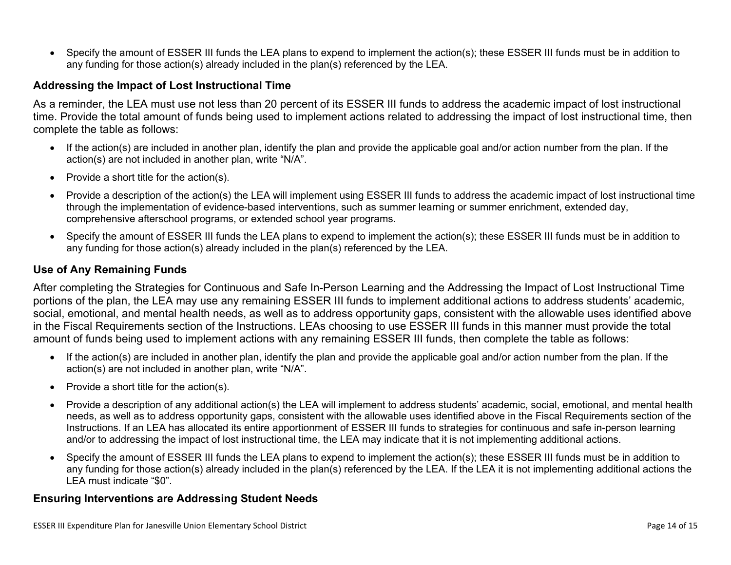Specify the amount of ESSER III funds the LEA plans to expend to implement the action(s); these ESSER III funds must be in addition to any funding for those action(s) already included in the plan(s) referenced by the LEA.

#### <span id="page-13-0"></span>**Addressing the Impact of Lost Instructional Time**

As a reminder, the LEA must use not less than 20 percent of its ESSER III funds to address the academic impact of lost instructional time. Provide the total amount of funds being used to implement actions related to addressing the impact of lost instructional time, then complete the table as follows:

- If the action(s) are included in another plan, identify the plan and provide the applicable goal and/or action number from the plan. If the action(s) are not included in another plan, write "N/A".
- Provide a short title for the  $action(s)$ .
- Provide a description of the action(s) the LEA will implement using ESSER III funds to address the academic impact of lost instructional time through the implementation of evidence-based interventions, such as summer learning or summer enrichment, extended day, comprehensive afterschool programs, or extended school year programs.
- Specify the amount of ESSER III funds the LEA plans to expend to implement the action(s); these ESSER III funds must be in addition to any funding for those action(s) already included in the plan(s) referenced by the LEA.

#### <span id="page-13-1"></span>**Use of Any Remaining Funds**

After completing the Strategies for Continuous and Safe In-Person Learning and the Addressing the Impact of Lost Instructional Time portions of the plan, the LEA may use any remaining ESSER III funds to implement additional actions to address students' academic, social, emotional, and mental health needs, as well as to address opportunity gaps, consistent with the allowable uses identified above in the Fiscal Requirements section of the Instructions. LEAs choosing to use ESSER III funds in this manner must provide the total amount of funds being used to implement actions with any remaining ESSER III funds, then complete the table as follows:

- If the action(s) are included in another plan, identify the plan and provide the applicable goal and/or action number from the plan. If the action(s) are not included in another plan, write "N/A".
- Provide a short title for the  $action(s)$ .
- Provide a description of any additional action(s) the LEA will implement to address students' academic, social, emotional, and mental health needs, as well as to address opportunity gaps, consistent with the allowable uses identified above in the Fiscal Requirements section of the Instructions. If an LEA has allocated its entire apportionment of ESSER III funds to strategies for continuous and safe in-person learning and/or to addressing the impact of lost instructional time, the LEA may indicate that it is not implementing additional actions.
- Specify the amount of ESSER III funds the LEA plans to expend to implement the action(s); these ESSER III funds must be in addition to any funding for those action(s) already included in the plan(s) referenced by the LEA. If the LEA it is not implementing additional actions the LEA must indicate "\$0".

#### <span id="page-13-2"></span>**Ensuring Interventions are Addressing Student Needs**